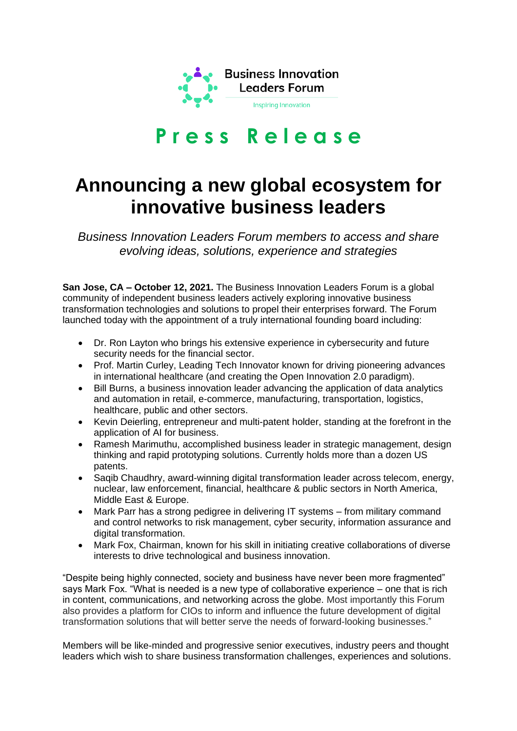

## **P r e s s R e l e a s e**

## **Announcing a new global ecosystem for innovative business leaders**

*Business Innovation Leaders Forum members to access and share evolving ideas, solutions, experience and strategies*

**San Jose, CA – October 12, 2021.** The Business Innovation Leaders Forum is a global community of independent business leaders actively exploring innovative business transformation technologies and solutions to propel their enterprises forward. The Forum launched today with the appointment of a truly international founding board including:

- Dr. Ron Layton who brings his extensive experience in cybersecurity and future security needs for the financial sector.
- Prof. Martin Curley, Leading Tech Innovator known for driving pioneering advances in international healthcare (and creating the Open Innovation 2.0 paradigm).
- Bill Burns, a business innovation leader advancing the application of data analytics and automation in retail, e-commerce, manufacturing, transportation, logistics, healthcare, public and other sectors.
- Kevin Deierling, entrepreneur and multi-patent holder, standing at the forefront in the application of AI for business.
- Ramesh Marimuthu, accomplished business leader in strategic management, design thinking and rapid prototyping solutions. Currently holds more than a dozen US patents.
- Saqib Chaudhry, award-winning digital transformation leader across telecom, energy, nuclear, law enforcement, financial, healthcare & public sectors in North America, Middle East & Europe.
- Mark Parr has a strong pedigree in delivering IT systems from military command and control networks to risk management, cyber security, information assurance and digital transformation.
- Mark Fox, Chairman, known for his skill in initiating creative collaborations of diverse interests to drive technological and business innovation.

"Despite being highly connected, society and business have never been more fragmented" says Mark Fox. "What is needed is a new type of collaborative experience – one that is rich in content, communications, and networking across the globe. Most importantly this Forum also provides a platform for CIOs to inform and influence the future development of digital transformation solutions that will better serve the needs of forward-looking businesses."

Members will be like-minded and progressive senior executives, industry peers and thought leaders which wish to share business transformation challenges, experiences and solutions.